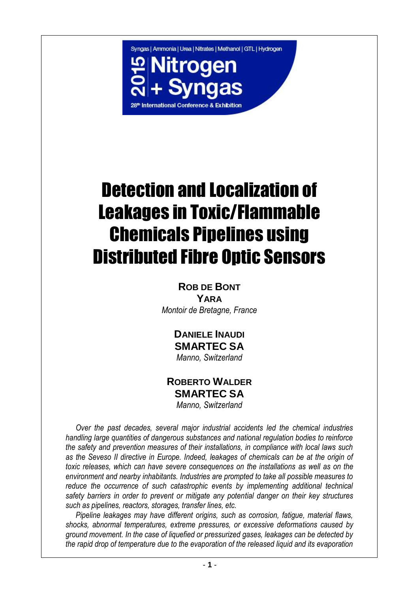Syngas | Ammonia | Urea | Nitrates | Methanol | GTL | Hydrogen itrogen yngas 28<sup>th</sup> International Conference & Exhibition

# Detection and Localization of Leakages in Toxic/Flammable Chemicals Pipelines using Distributed Fibre Optic Sensors

**ROB DE BONT YARA** *Montoir de Bretagne, France*

> **DANIELE INAUDI SMARTEC SA** *Manno, Switzerland*

## **ROBERTO WALDER SMARTEC SA**

*Manno, Switzerland*

*Over the past decades, several major industrial accidents led the chemical industries handling large quantities of dangerous substances and national regulation bodies to reinforce the safety and prevention measures of their installations, in compliance with local laws such as the Seveso II directive in Europe. Indeed, leakages of chemicals can be at the origin of toxic releases, which can have severe consequences on the installations as well as on the environment and nearby inhabitants. Industries are prompted to take all possible measures to*  reduce the occurrence of such catastrophic events by implementing additional technical *safety barriers in order to prevent or mitigate any potential danger on their key structures such as pipelines, reactors, storages, transfer lines, etc.*

*Pipeline leakages may have different origins, such as corrosion, fatigue, material flaws, shocks, abnormal temperatures, extreme pressures, or excessive deformations caused by ground movement. In the case of liquefied or pressurized gases, leakages can be detected by the rapid drop of temperature due to the evaporation of the released liquid and its evaporation*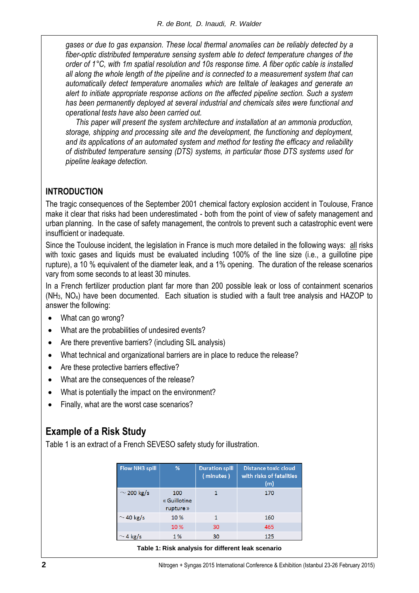*gases or due to gas expansion. These local thermal anomalies can be reliably detected by a fiber-optic distributed temperature sensing system able to detect temperature changes of the order of 1°C, with 1m spatial resolution and 10s response time. A fiber optic cable is installed all along the whole length of the pipeline and is connected to a measurement system that can automatically detect temperature anomalies which are telltale of leakages and generate an alert to initiate appropriate response actions on the affected pipeline section. Such a system has been permanently deployed at several industrial and chemicals sites were functional and operational tests have also been carried out.*

*This paper will present the system architecture and installation at an ammonia production, storage, shipping and processing site and the development, the functioning and deployment, and its applications of an automated system and method for testing the efficacy and reliability of distributed temperature sensing (DTS) systems, in particular those DTS systems used for pipeline leakage detection.*

#### **INTRODUCTION**

The tragic consequences of the September 2001 chemical factory explosion accident in Toulouse, France make it clear that risks had been underestimated - both from the point of view of safety management and urban planning. In the case of safety management, the controls to prevent such a catastrophic event were insufficient or inadequate.

Since the Toulouse incident, the legislation in France is much more detailed in the following ways: all risks with toxic gases and liquids must be evaluated including 100% of the line size (i.e., a guillotine pipe rupture), a 10 % equivalent of the diameter leak, and a 1% opening. The duration of the release scenarios vary from some seconds to at least 30 minutes.

In a French fertilizer production plant far more than 200 possible leak or loss of containment scenarios  $(NH<sub>3</sub>, NO<sub>x</sub>)$  have been documented. Each situation is studied with a fault tree analysis and HAZOP to answer the following:

- What can go wrong?
- What are the probabilities of undesired events?
- Are there preventive barriers? (including SIL analysis)
- What technical and organizational barriers are in place to reduce the release?
- Are these protective barriers effective?
- What are the consequences of the release?
- What is potentially the impact on the environment?
- Finally, what are the worst case scenarios?

## **Example of a Risk Study**

Table 1 is an extract of a French SEVESO safety study for illustration.

| <b>Flow NH3 spill</b> | %                                | <b>Duration spill</b><br>(minutes ) | <b>Distance toxic cloud</b><br>with risks of fatalities<br>(m) |
|-----------------------|----------------------------------|-------------------------------------|----------------------------------------------------------------|
| $\sim$ 200 kg/s       | 100<br>« Guillotine<br>rupture » |                                     | 170                                                            |
| $\sim$ 40 kg/s        | 10%                              |                                     | 160                                                            |
|                       | 10 %                             | 30                                  | 465                                                            |
| $\sim$ 4 kg/s         | 1%                               | 30                                  | 125                                                            |

**Table 1: Risk analysis for different leak scenario**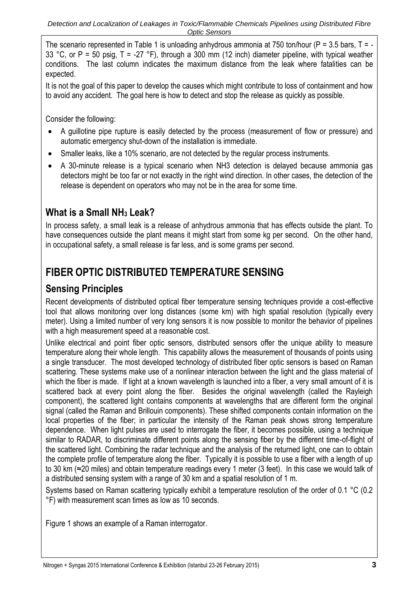The scenario represented in Table 1 is unloading anhydrous ammonia at 750 ton/hour ( $P = 3.5$  bars,  $T = -$ 33 °C, or P = 50 psig, T = -27 °F), through a 300 mm (12 inch) diameter pipeline, with typical weather conditions. The last column indicates the maximum distance from the leak where fatalities can be expected.

It is not the goal of this paper to develop the causes which might contribute to loss of containment and how to avoid any accident. The goal here is how to detect and stop the release as quickly as possible.

Consider the following:

- A guillotine pipe rupture is easily detected by the process (measurement of flow or pressure) and automatic emergency shut-down of the installation is immediate.
- Smaller leaks, like a 10% scenario, are not detected by the regular process instruments.
- A 30-minute release is a typical scenario when NH3 detection is delayed because ammonia gas detectors might be too far or not exactly in the right wind direction. In other cases, the detection of the release is dependent on operators who may not be in the area for some time.

## **What is a Small NH<sup>3</sup> Leak?**

In process safety, a small leak is a release of anhydrous ammonia that has effects outside the plant. To have consequences outside the plant means it might start from some kg per second. On the other hand, in occupational safety, a small release is far less, and is some grams per second.

# **FIBER OPTIC DISTRIBUTED TEMPERATURE SENSING**

## **Sensing Principles**

Recent developments of distributed optical fiber temperature sensing techniques provide a cost-effective tool that allows monitoring over long distances (some km) with high spatial resolution (typically every meter). Using a limited number of very long sensors it is now possible to monitor the behavior of pipelines with a high measurement speed at a reasonable cost.

Unlike electrical and point fiber optic sensors, distributed sensors offer the unique ability to measure temperature along their whole length. This capability allows the measurement of thousands of points using a single transducer. The most developed technology of distributed fiber optic sensors is based on Raman scattering. These systems make use of a nonlinear interaction between the light and the glass material of which the fiber is made. If light at a known wavelength is launched into a fiber, a very small amount of it is scattered back at every point along the fiber. Besides the original wavelength (called the Rayleigh component), the scattered light contains components at wavelengths that are different form the original signal (called the Raman and Brillouin components). These shifted components contain information on the local properties of the fiber; in particular the intensity of the Raman peak shows strong temperature dependence. When light pulses are used to interrogate the fiber, it becomes possible, using a technique similar to RADAR, to discriminate different points along the sensing fiber by the different time-of-flight of the scattered light. Combining the radar technique and the analysis of the returned light, one can to obtain the complete profile of temperature along the fiber. Typically it is possible to use a fiber with a length of up to 30 km (≈20 miles) and obtain temperature readings every 1 meter (3 feet). In this case we would talk of a distributed sensing system with a range of 30 km and a spatial resolution of 1 m.

Systems based on Raman scattering typically exhibit a temperature resolution of the order of 0.1 °C (0.2 °F) with measurement scan times as low as 10 seconds.

Figure 1 shows an example of a Raman interrogator.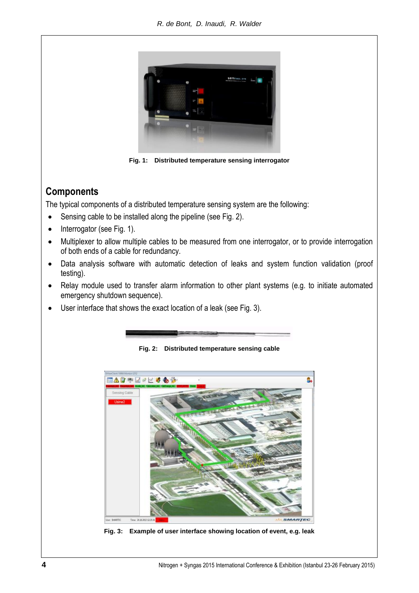

**Fig. 1: Distributed temperature sensing interrogator**

#### **Components**

The typical components of a distributed temperature sensing system are the following:

- Sensing cable to be installed along the pipeline (see Fig. 2).
- Interrogator (see Fig. 1).
- Multiplexer to allow multiple cables to be measured from one interrogator, or to provide interrogation of both ends of a cable for redundancy.
- Data analysis software with automatic detection of leaks and system function validation (proof testing).
- Relay module used to transfer alarm information to other plant systems (e.g. to initiate automated emergency shutdown sequence).
- User interface that shows the exact location of a leak (see Fig. 3).

**AD - Z - K 5 6 6** ŝ. ber 9/487 **SMARTEC Fig. 3: Example of user interface showing location of event, e.g. leak**

**Fig. 2: Distributed temperature sensing cable**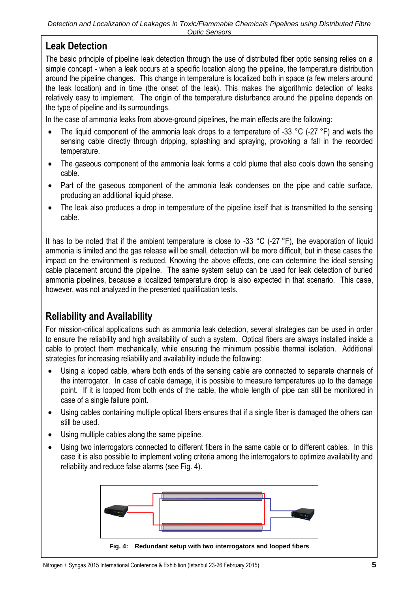#### **Leak Detection**

The basic principle of pipeline leak detection through the use of distributed fiber optic sensing relies on a simple concept - when a leak occurs at a specific location along the pipeline, the temperature distribution around the pipeline changes. This change in temperature is localized both in space (a few meters around the leak location) and in time (the onset of the leak). This makes the algorithmic detection of leaks relatively easy to implement. The origin of the temperature disturbance around the pipeline depends on the type of pipeline and its surroundings.

In the case of ammonia leaks from above-ground pipelines, the main effects are the following:

- The liquid component of the ammonia leak drops to a temperature of -33 °C (-27 °F) and wets the sensing cable directly through dripping, splashing and spraying, provoking a fall in the recorded temperature.
- The gaseous component of the ammonia leak forms a cold plume that also cools down the sensing cable.
- Part of the gaseous component of the ammonia leak condenses on the pipe and cable surface, producing an additional liquid phase.
- The leak also produces a drop in temperature of the pipeline itself that is transmitted to the sensing cable.

It has to be noted that if the ambient temperature is close to -33 °C (-27 °F), the evaporation of liquid ammonia is limited and the gas release will be small, detection will be more difficult, but in these cases the impact on the environment is reduced. Knowing the above effects, one can determine the ideal sensing cable placement around the pipeline. The same system setup can be used for leak detection of buried ammonia pipelines, because a localized temperature drop is also expected in that scenario. This case, however, was not analyzed in the presented qualification tests.

## **Reliability and Availability**

For mission-critical applications such as ammonia leak detection, several strategies can be used in order to ensure the reliability and high availability of such a system. Optical fibers are always installed inside a cable to protect them mechanically, while ensuring the minimum possible thermal isolation. Additional strategies for increasing reliability and availability include the following:

- Using a looped cable, where both ends of the sensing cable are connected to separate channels of the interrogator. In case of cable damage, it is possible to measure temperatures up to the damage point. If it is looped from both ends of the cable, the whole length of pipe can still be monitored in case of a single failure point.
- Using cables containing multiple optical fibers ensures that if a single fiber is damaged the others can still be used.
- Using multiple cables along the same pipeline.
- Using two interrogators connected to different fibers in the same cable or to different cables. In this case it is also possible to implement voting criteria among the interrogators to optimize availability and reliability and reduce false alarms (see Fig. 4).



**Fig. 4: Redundant setup with two interrogators and looped fibers**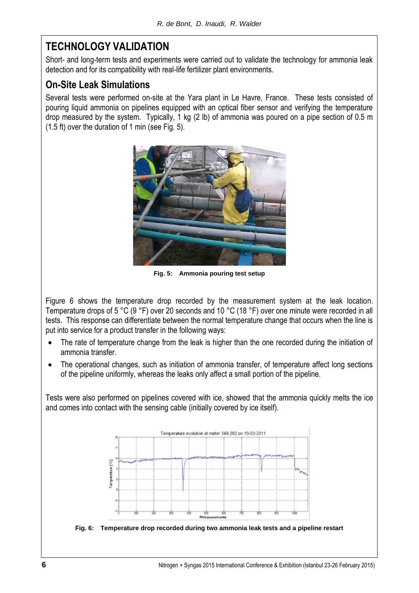## **TECHNOLOGY VALIDATION**

Short- and long-term tests and experiments were carried out to validate the technology for ammonia leak detection and for its compatibility with real-life fertilizer plant environments.

## **On-Site Leak Simulations**

Several tests were performed on-site at the Yara plant in Le Havre, France. These tests consisted of pouring liquid ammonia on pipelines equipped with an optical fiber sensor and verifying the temperature drop measured by the system. Typically, 1 kg (2 lb) of ammonia was poured on a pipe section of 0.5 m (1.5 ft) over the duration of 1 min (see Fig. 5).



**Fig. 5: Ammonia pouring test setup**

Figure 6 shows the temperature drop recorded by the measurement system at the leak location. Temperature drops of 5 °C (9 °F) over 20 seconds and 10 °C (18 °F) over one minute were recorded in all tests. This response can differentiate between the normal temperature change that occurs when the line is put into service for a product transfer in the following ways:

- The rate of temperature change from the leak is higher than the one recorded during the initiation of ammonia transfer.
- The operational changes, such as initiation of ammonia transfer, of temperature affect long sections of the pipeline uniformly, whereas the leaks only affect a small portion of the pipeline.

Tests were also performed on pipelines covered with ice, showed that the ammonia quickly melts the ice and comes into contact with the sensing cable (initially covered by ice itself).



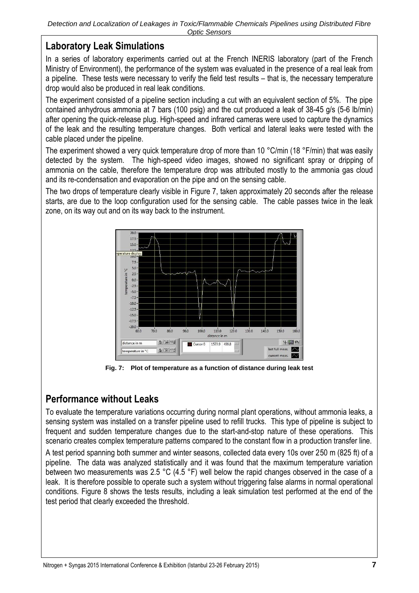#### **Laboratory Leak Simulations**

In a series of laboratory experiments carried out at the French INERIS laboratory (part of the French Ministry of Environment), the performance of the system was evaluated in the presence of a real leak from a pipeline. These tests were necessary to verify the field test results – that is, the necessary temperature drop would also be produced in real leak conditions.

The experiment consisted of a pipeline section including a cut with an equivalent section of 5%. The pipe contained anhydrous ammonia at 7 bars (100 psig) and the cut produced a leak of 38-45 g/s (5-6 lb/min) after opening the quick-release plug. High-speed and infrared cameras were used to capture the dynamics of the leak and the resulting temperature changes. Both vertical and lateral leaks were tested with the cable placed under the pipeline.

The experiment showed a very quick temperature drop of more than 10 °C/min (18 °F/min) that was easily detected by the system. The high-speed video images, showed no significant spray or dripping of ammonia on the cable, therefore the temperature drop was attributed mostly to the ammonia gas cloud and its re-condensation and evaporation on the pipe and on the sensing cable.

The two drops of temperature clearly visible in Figure 7, taken approximately 20 seconds after the release starts, are due to the loop configuration used for the sensing cable. The cable passes twice in the leak zone, on its way out and on its way back to the instrument.



**Fig. 7: Plot of temperature as a function of distance during leak test**

## **Performance without Leaks**

To evaluate the temperature variations occurring during normal plant operations, without ammonia leaks, a sensing system was installed on a transfer pipeline used to refill trucks. This type of pipeline is subject to frequent and sudden temperature changes due to the start-and-stop nature of these operations. This scenario creates complex temperature patterns compared to the constant flow in a production transfer line.

A test period spanning both summer and winter seasons, collected data every 10s over 250 m (825 ft) of a pipeline. The data was analyzed statistically and it was found that the maximum temperature variation between two measurements was 2.5 °C (4.5 °F) well below the rapid changes observed in the case of a leak. It is therefore possible to operate such a system without triggering false alarms in normal operational conditions. Figure 8 shows the tests results, including a leak simulation test performed at the end of the test period that clearly exceeded the threshold.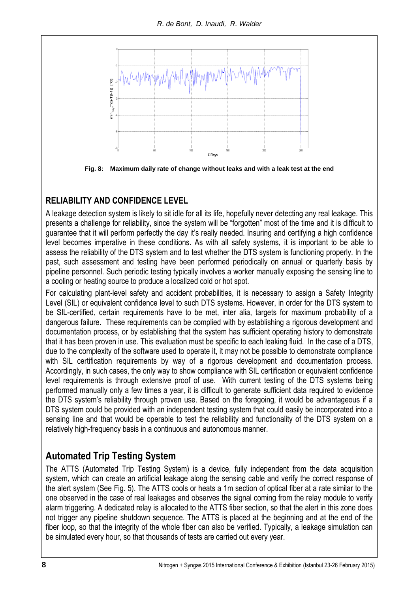

**Fig. 8: Maximum daily rate of change without leaks and with a leak test at the end**

#### **RELIABILITY AND CONFIDENCE LEVEL**

A leakage detection system is likely to sit idle for all its life, hopefully never detecting any real leakage. This presents a challenge for reliability, since the system will be "forgotten" most of the time and it is difficult to guarantee that it will perform perfectly the day it's really needed. Insuring and certifying a high confidence level becomes imperative in these conditions. As with all safety systems, it is important to be able to assess the reliability of the DTS system and to test whether the DTS system is functioning properly. In the past, such assessment and testing have been performed periodically on annual or quarterly basis by pipeline personnel. Such periodic testing typically involves a worker manually exposing the sensing line to a cooling or heating source to produce a localized cold or hot spot.

For calculating plant-level safety and accident probabilities, it is necessary to assign a Safety Integrity Level (SIL) or equivalent confidence level to such DTS systems. However, in order for the DTS system to be SIL-certified, certain requirements have to be met, inter alia, targets for maximum probability of a dangerous failure. These requirements can be complied with by establishing a rigorous development and documentation process, or by establishing that the system has sufficient operating history to demonstrate that it has been proven in use. This evaluation must be specific to each leaking fluid. In the case of a DTS, due to the complexity of the software used to operate it, it may not be possible to demonstrate compliance with SIL certification requirements by way of a rigorous development and documentation process. Accordingly, in such cases, the only way to show compliance with SIL certification or equivalent confidence level requirements is through extensive proof of use. With current testing of the DTS systems being performed manually only a few times a year, it is difficult to generate sufficient data required to evidence the DTS system's reliability through proven use. Based on the foregoing, it would be advantageous if a DTS system could be provided with an independent testing system that could easily be incorporated into a sensing line and that would be operable to test the reliability and functionality of the DTS system on a relatively high-frequency basis in a continuous and autonomous manner.

## **Automated Trip Testing System**

The ATTS (Automated Trip Testing System) is a device, fully independent from the data acquisition system, which can create an artificial leakage along the sensing cable and verify the correct response of the alert system (See Fig. 5). The ATTS cools or heats a 1m section of optical fiber at a rate similar to the one observed in the case of real leakages and observes the signal coming from the relay module to verify alarm triggering. A dedicated relay is allocated to the ATTS fiber section, so that the alert in this zone does not trigger any pipeline shutdown sequence. The ATTS is placed at the beginning and at the end of the fiber loop, so that the integrity of the whole fiber can also be verified. Typically, a leakage simulation can be simulated every hour, so that thousands of tests are carried out every year.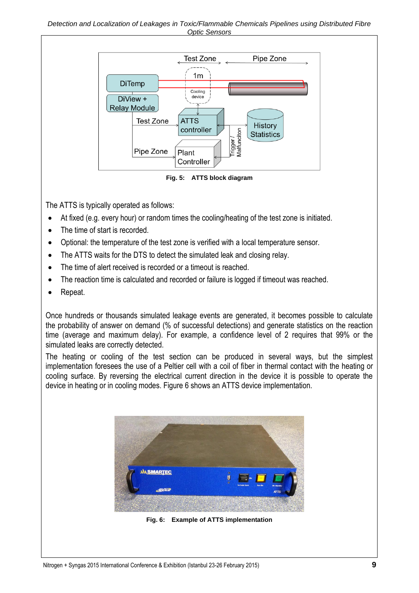*Detection and Localization of Leakages in Toxic/Flammable Chemicals Pipelines using Distributed Fibre Optic Sensors*



**Fig. 5: ATTS block diagram**

The ATTS is typically operated as follows:

- At fixed (e.g. every hour) or random times the cooling/heating of the test zone is initiated.
- The time of start is recorded.
- Optional: the temperature of the test zone is verified with a local temperature sensor.
- The ATTS waits for the DTS to detect the simulated leak and closing relay.
- The time of alert received is recorded or a timeout is reached.
- The reaction time is calculated and recorded or failure is logged if timeout was reached.
- Repeat.

Once hundreds or thousands simulated leakage events are generated, it becomes possible to calculate the probability of answer on demand (% of successful detections) and generate statistics on the reaction time (average and maximum delay). For example, a confidence level of 2 requires that 99% or the simulated leaks are correctly detected.

The heating or cooling of the test section can be produced in several ways, but the simplest implementation foresees the use of a Peltier cell with a coil of fiber in thermal contact with the heating or cooling surface. By reversing the electrical current direction in the device it is possible to operate the device in heating or in cooling modes. Figure 6 shows an ATTS device implementation.



**Fig. 6: Example of ATTS implementation**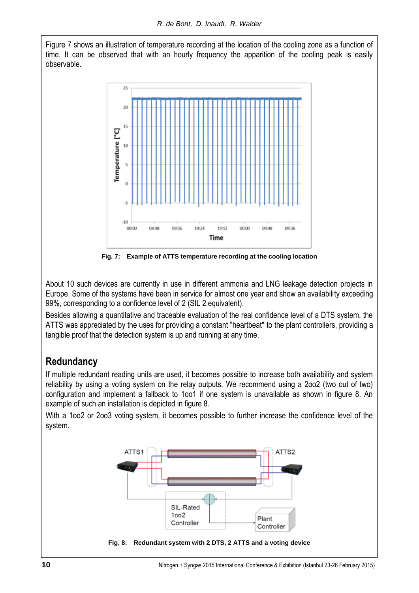Figure 7 shows an illustration of temperature recording at the location of the cooling zone as a function of time. It can be observed that with an hourly frequency the apparition of the cooling peak is easily observable.



**Fig. 7: Example of ATTS temperature recording at the cooling location**

About 10 such devices are currently in use in different ammonia and LNG leakage detection projects in Europe. Some of the systems have been in service for almost one year and show an availability exceeding 99%, corresponding to a confidence level of 2 (SIL 2 equivalent).

Besides allowing a quantitative and traceable evaluation of the real confidence level of a DTS system, the ATTS was appreciated by the uses for providing a constant "heartbeat" to the plant controllers, providing a tangible proof that the detection system is up and running at any time.

## **Redundancy**

If multiple redundant reading units are used, it becomes possible to increase both availability and system reliability by using a voting system on the relay outputs. We recommend using a 2oo2 (two out of two) configuration and implement a fallback to 1oo1 if one system is unavailable as shown in figure 8. An example of such an installation is depicted in figure 8.

With a 1oo2 or 2oo3 voting system, it becomes possible to further increase the confidence level of the system.

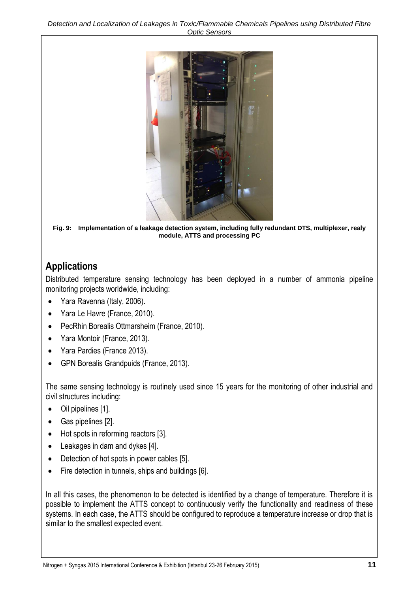*Detection and Localization of Leakages in Toxic/Flammable Chemicals Pipelines using Distributed Fibre Optic Sensors*



**Fig. 9: Implementation of a leakage detection system, including fully redundant DTS, multiplexer, realy module, ATTS and processing PC**

## **Applications**

Distributed temperature sensing technology has been deployed in a number of ammonia pipeline monitoring projects worldwide, including:

- Yara Ravenna (Italy, 2006).
- Yara Le Havre (France, 2010).
- PecRhin Borealis Ottmarsheim (France, 2010).
- Yara Montoir (France, 2013).
- Yara Pardies (France 2013).
- GPN Borealis Grandpuids (France, 2013).

The same sensing technology is routinely used since 15 years for the monitoring of other industrial and civil structures including:

- Oil pipelines [1].
- Gas pipelines [2].
- Hot spots in reforming reactors [3].
- Leakages in dam and dykes [4].
- Detection of hot spots in power cables [5].
- Fire detection in tunnels, ships and buildings [6].

In all this cases, the phenomenon to be detected is identified by a change of temperature. Therefore it is possible to implement the ATTS concept to continuously verify the functionality and readiness of these systems. In each case, the ATTS should be configured to reproduce a temperature increase or drop that is similar to the smallest expected event.